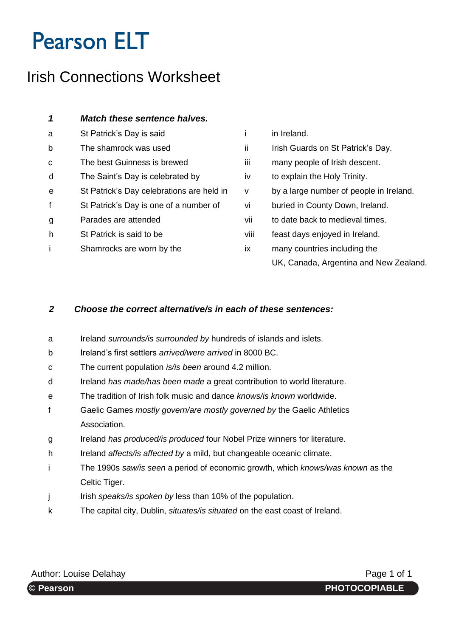# **Pearson ELT**

### Irish Connections Worksheet

| 1 | <b>Match these sentence halves.</b>       |      |                                         |
|---|-------------------------------------------|------|-----------------------------------------|
| a | St Patrick's Day is said                  |      | in Ireland.                             |
| þ | The shamrock was used                     | ii.  | Irish Guards on St Patrick's Day.       |
| C | The best Guinness is brewed               | iii  | many people of Irish descent.           |
| d | The Saint's Day is celebrated by          | iv   | to explain the Holy Trinity.            |
| e | St Patrick's Day celebrations are held in | v    | by a large number of people in Ireland. |
| f | St Patrick's Day is one of a number of    | vi   | buried in County Down, Ireland.         |
| g | Parades are attended                      | vii  | to date back to medieval times.         |
| h | St Patrick is said to be                  | viii | feast days enjoyed in Ireland.          |
|   | Shamrocks are worn by the                 | iх   | many countries including the            |
|   |                                           |      | UK, Canada, Argentina and New Zealand.  |

#### *2 Choose the correct alternative/s in each of these sentences:*

- a Ireland *surrounds/is surrounded by* hundreds of islands and islets.
- b Ireland's first settlers *arrived/were arrived* in 8000 BC.
- c The current population *is/is been* around 4.2 million.
- d Ireland *has made/has been made* a great contribution to world literature.
- e The tradition of Irish folk music and dance *knows/is known* worldwide.
- f Gaelic Games *mostly govern/are mostly governed by* the Gaelic Athletics Association.
- g Ireland *has produced/is produced* four Nobel Prize winners for literature.
- h Ireland *affects/is affected by* a mild, but changeable oceanic climate.
- i The 1990s *saw/is seen* a period of economic growth, which *knows/was known* as the Celtic Tiger.
- j Irish *speaks/is spoken by* less than 10% of the population.
- k The capital city, Dublin, *situates/is situated* on the east coast of Ireland.